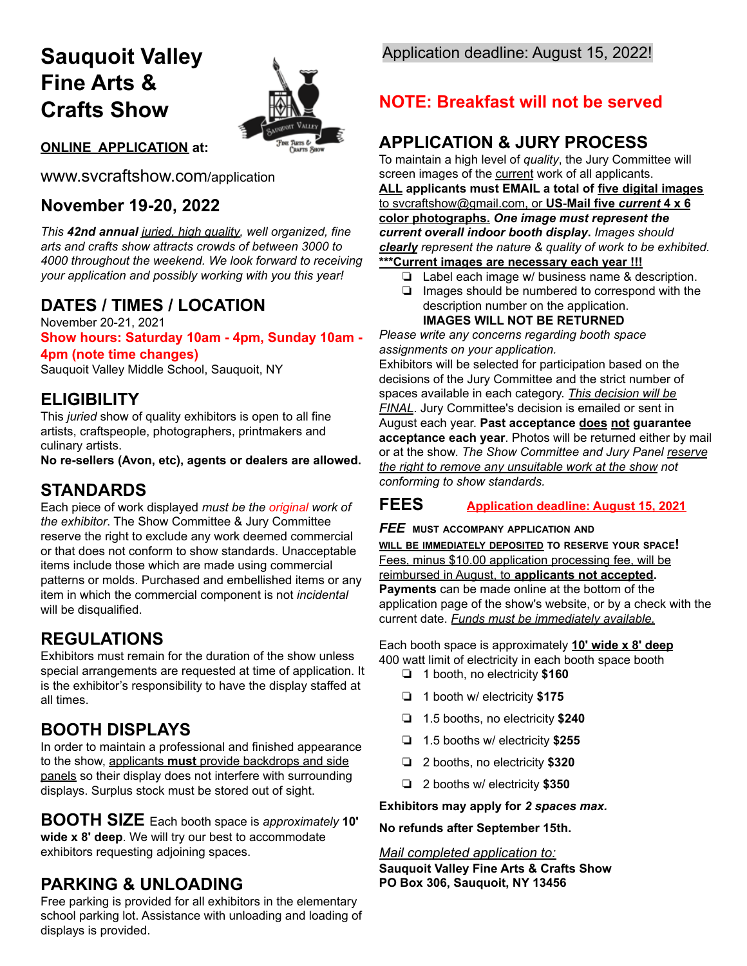# **Sauquoit Valley Fine Arts & Crafts Show**



### **ONLINE APPLICATION at:**

www.svcraftshow.com/application

## **November 19-20, 2022**

*This 42nd annual juried, high quality, well organized, fine arts and crafts show attracts crowds of between 3000 to 4000 throughout the weekend. We look forward to receiving your application and possibly working with you this year!*

## **DATES / TIMES / LOCATION**

November 20-21, 2021 **Show hours: Saturday 10am - 4pm, Sunday 10am - 4pm (note time changes)**

Sauquoit Valley Middle School, Sauquoit, NY

### **ELIGIBILITY**

This *juried* show of quality exhibitors is open to all fine artists, craftspeople, photographers, printmakers and culinary artists.

**No re-sellers (Avon, etc), agents or dealers are allowed.**

## **STANDARDS**

Each piece of work displayed *must be the original work of the exhibitor*. The Show Committee & Jury Committee reserve the right to exclude any work deemed commercial or that does not conform to show standards. Unacceptable items include those which are made using commercial patterns or molds. Purchased and embellished items or any item in which the commercial component is not *incidental* will be disqualified.

## **REGULATIONS**

Exhibitors must remain for the duration of the show unless special arrangements are requested at time of application. It is the exhibitor's responsibility to have the display staffed at all times.

## **BOOTH DISPLAYS**

In order to maintain a professional and finished appearance to the show, applicants **must** provide backdrops and side panels so their display does not interfere with surrounding displays. Surplus stock must be stored out of sight.

**BOOTH SIZE** Each booth space is *approximately* **10' wide x 8' deep**. We will try our best to accommodate exhibitors requesting adjoining spaces.

## **PARKING & UNLOADING**

Free parking is provided for all exhibitors in the elementary school parking lot. Assistance with unloading and loading of displays is provided.

## Application deadline: August 15, 2022!

## **NOTE: Breakfast will not be served**

## **APPLICATION & JURY PROCESS**

To maintain a high level of *quality*, the Jury Committee will screen images of the current work of all applicants.

**ALL applicants must EMAIL a total of five digital images** to svcraftshow@gmail.com, or **US**-**Mail five** *current* **4 x 6 color photographs.** *One image must represent the current overall indoor booth display***.** *Images should clearly represent the nature & quality of work to be exhibited.* **\*\*\*Current images are necessary each year !!!**

- ❏ Label each image w/ business name & description.
- ❏ Images should be numbered to correspond with the description number on the application.

**IMAGES WILL NOT BE RETURNED**

*Please write any concerns regarding booth space assignments on your application.*

Exhibitors will be selected for participation based on the decisions of the Jury Committee and the strict number of spaces available in each category. *This decision will be FINAL*. Jury Committee's decision is emailed or sent in August each year. **Past acceptance does not guarantee acceptance each year**. Photos will be returned either by mail or at the show. *The Show Committee and Jury Panel reserve the right to remove any unsuitable work at the show not conforming to show standards.*

### **FEES Application deadline: August 15, 2021**

### *FEE* **MUST ACCOMPANY APPLICATION AND**

**WILL BE IMMEDIATELY DEPOSITED TO RESERVE YOUR SPACE!** Fees, minus \$10.00 application processing fee, will be reimbursed in August, to **applicants not accepted. Payments** can be made online at the bottom of the application page of the show's website, or by a check with the current date. *Funds must be immediately available.*

Each booth space is approximately **10' wide x 8' deep** 400 watt limit of electricity in each booth space booth

- ❏ 1 booth, no electricity **\$160**
- ❏ 1 booth w/ electricity **\$175**
- ❏ 1.5 booths, no electricity **\$240**
- ❏ 1.5 booths w/ electricity **\$255**
- ❏ 2 booths, no electricity **\$320**
- ❏ 2 booths w/ electricity **\$350**

**Exhibitors may apply for** *2 spaces max.*

#### **No refunds after September 15th.**

### *Mail completed application to:*

**Sauquoit Valley Fine Arts & Crafts Show PO Box 306, Sauquoit, NY 13456**